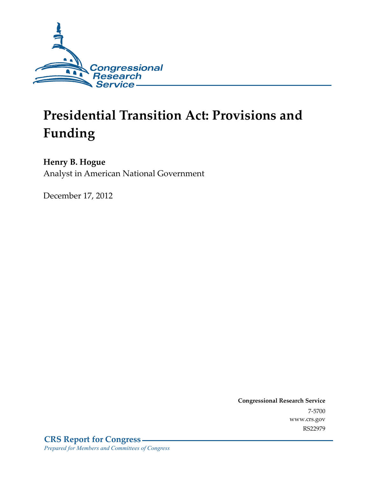

# **Presidential Transition Act: Provisions and Funding**

### **Henry B. Hogue**

Analyst in American National Government

December 17, 2012

**Congressional Research Service**  7-5700 www.crs.gov RS22979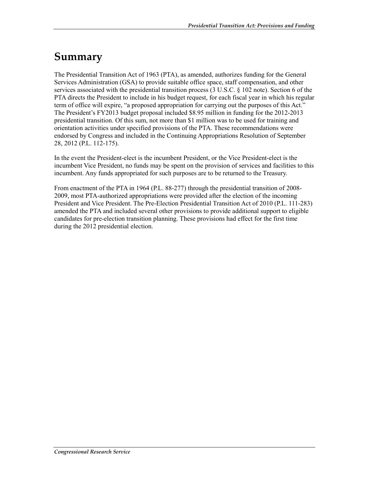### **Summary**

The Presidential Transition Act of 1963 (PTA), as amended, authorizes funding for the General Services Administration (GSA) to provide suitable office space, staff compensation, and other services associated with the presidential transition process (3 U.S.C. § 102 note). Section 6 of the PTA directs the President to include in his budget request, for each fiscal year in which his regular term of office will expire, "a proposed appropriation for carrying out the purposes of this Act." The President's FY2013 budget proposal included \$8.95 million in funding for the 2012-2013 presidential transition. Of this sum, not more than \$1 million was to be used for training and orientation activities under specified provisions of the PTA. These recommendations were endorsed by Congress and included in the Continuing Appropriations Resolution of September 28, 2012 (P.L. 112-175).

In the event the President-elect is the incumbent President, or the Vice President-elect is the incumbent Vice President, no funds may be spent on the provision of services and facilities to this incumbent. Any funds appropriated for such purposes are to be returned to the Treasury.

From enactment of the PTA in 1964 (P.L. 88-277) through the presidential transition of 2008- 2009, most PTA-authorized appropriations were provided after the election of the incoming President and Vice President. The Pre-Election Presidential Transition Act of 2010 (P.L. 111-283) amended the PTA and included several other provisions to provide additional support to eligible candidates for pre-election transition planning. These provisions had effect for the first time during the 2012 presidential election.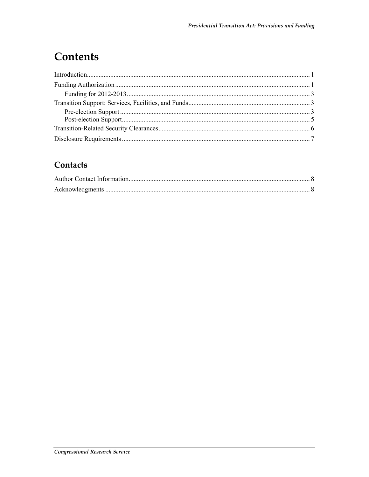# Contents

#### Contacts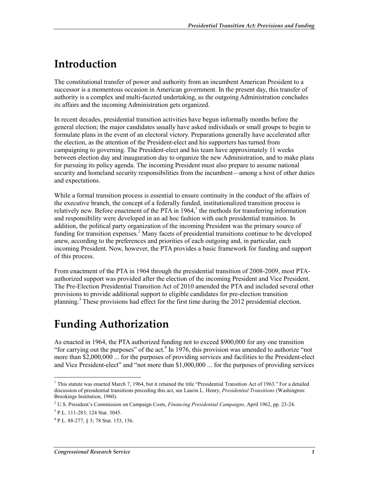### **Introduction**

The constitutional transfer of power and authority from an incumbent American President to a successor is a momentous occasion in American government. In the present day, this transfer of authority is a complex and multi-faceted undertaking, as the outgoing Administration concludes its affairs and the incoming Administration gets organized.

In recent decades, presidential transition activities have begun informally months before the general election; the major candidates usually have asked individuals or small groups to begin to formulate plans in the event of an electoral victory. Preparations generally have accelerated after the election, as the attention of the President-elect and his supporters has turned from campaigning to governing. The President-elect and his team have approximately 11 weeks between election day and inauguration day to organize the new Administration, and to make plans for pursuing its policy agenda. The incoming President must also prepare to assume national security and homeland security responsibilities from the incumbent—among a host of other duties and expectations.

While a formal transition process is essential to ensure continuity in the conduct of the affairs of the executive branch, the concept of a federally funded, institutionalized transition process is relatively new. Before enactment of the PTA in  $1964$ ,<sup>1</sup> the methods for transferring information and responsibility were developed in an ad hoc fashion with each presidential transition. In addition, the political party organization of the incoming President was the primary source of funding for transition expenses.<sup>2</sup> Many facets of presidential transitions continue to be developed anew, according to the preferences and priorities of each outgoing and, in particular, each incoming President. Now, however, the PTA provides a basic framework for funding and support of this process.

From enactment of the PTA in 1964 through the presidential transition of 2008-2009, most PTAauthorized support was provided after the election of the incoming President and Vice President. The Pre-Election Presidential Transition Act of 2010 amended the PTA and included several other provisions to provide additional support to eligible candidates for pre-election transition planning.<sup>3</sup> These provisions had effect for the first time during the 2012 presidential election.

## **Funding Authorization**

As enacted in 1964, the PTA authorized funding not to exceed \$900,000 for any one transition "for carrying out the purposes" of the act. $4 \text{ In } 1976$ , this provision was amended to authorize "not more than \$2,000,000 ... for the purposes of providing services and facilities to the President-elect and Vice President-elect" and "not more than \$1,000,000 ... for the purposes of providing services

1

<sup>&</sup>lt;sup>1</sup> This statute was enacted March 7, 1964, but it retained the title "Presidential Transition Act of 1963." For a detailed discussion of presidential transitions preceding this act, see Laurin L. Henry, *Presidential Transitions* (Washington: Brookings Institution, 1960).

<sup>2</sup> U.S. President's Commission on Campaign Costs, *Financing Presidential Campaigns*, April 1962, pp. 23-24.

<sup>3</sup> P.L. 111-283; 124 Stat. 3045.

<sup>4</sup> P.L. 88-277, § 5; 78 Stat. 153, 156.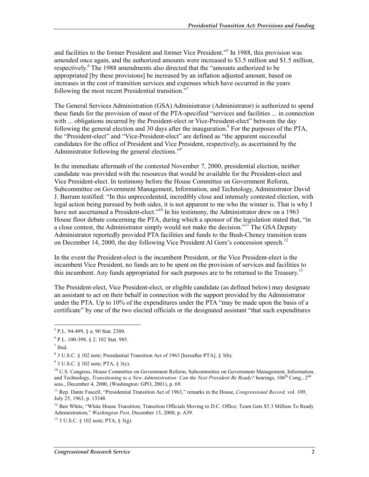and facilities to the former President and former Vice President."<sup>5</sup> In 1988, this provision was amended once again, and the authorized amounts were increased to \$3.5 million and \$1.5 million, respectively.<sup>6</sup> The 1988 amendments also directed that the "amounts authorized to be appropriated [by these provisions] be increased by an inflation adjusted amount, based on increases in the cost of transition services and expenses which have occurred in the years following the most recent Presidential transition."7

The General Services Administration (GSA) Administrator (Administrator) is authorized to spend these funds for the provision of most of the PTA-specified "services and facilities ... in connection with ... obligations incurred by the President-elect or Vice-President-elect" between the day following the general election and 30 days after the inauguration.<sup>8</sup> For the purposes of the PTA, the "President-elect" and "Vice-President-elect" are defined as "the apparent successful candidates for the office of President and Vice President, respectively, as ascertained by the Administrator following the general elections."<sup>9</sup>

In the immediate aftermath of the contested November 7, 2000, presidential election, neither candidate was provided with the resources that would be available for the President-elect and Vice President-elect. In testimony before the House Committee on Government Reform, Subcommittee on Government Management, Information, and Technology, Administrator David J. Barram testified: "In this unprecedented, incredibly close and intensely contested election, with legal action being pursued by both sides, it is not apparent to me who the winner is. That is why I have not ascertained a President-elect."<sup>10</sup> In his testimony, the Administrator drew on a 1963 House floor debate concerning the PTA, during which a sponsor of the legislation stated that, "in a close contest, the Administrator simply would not make the decision."<sup>11</sup> The GSA Deputy Administrator reportedly provided PTA facilities and funds to the Bush-Cheney transition team on December 14, 2000, the day following Vice President Al Gore's concession speech.<sup>12</sup>

In the event the President-elect is the incumbent President, or the Vice President-elect is the incumbent Vice President, no funds are to be spent on the provision of services and facilities to this incumbent. Any funds appropriated for such purposes are to be returned to the Treasury.<sup>13</sup>

The President-elect, Vice President-elect, or eligible candidate (as defined below) may designate an assistant to act on their behalf in connection with the support provided by the Administrator under the PTA. Up to 10% of the expenditures under the PTA "may be made upon the basis of a certificate" by one of the two elected officials or the designated assistant "that such expenditures

 5 P.L. 94-499, § a; 90 Stat. 2380.

<sup>6</sup> P.L. 100-398, § 2; 102 Stat. 985.

<sup>7</sup> Ibid.

<sup>8</sup> 3 U.S.C. § 102 note; Presidential Transition Act of 1963 [hereafter PTA], § 3(b).

 $9^9$  3 U.S.C. § 102 note; PTA, § 3(c).

<sup>&</sup>lt;sup>10</sup> U.S. Congress, House Committee on Government Reform, Subcommittee on Government Management, Information, and Technology, *Transitioning to a New Administration: Can the Next President Be Ready?* hearings,  $106^{th}$  Cong.,  $2^{nc}$ sess., December 4, 2000, (Washington: GPO, 2001), p. 69.

<sup>11</sup> Rep. Dante Fascell, "Presidential Transition Act of 1963," remarks in the House, *Congressional Record,* vol. 109, July 25, 1963, p. 13348.

 $12$  Ben White, "White House Transition; Transition Officials Moving to D.C. Office; Team Gets \$5.3 Million To Ready Administration," *Washington Post*, December 15, 2000, p. A39.

 $13$  3 U.S.C. § 102 note; PTA, § 3(g).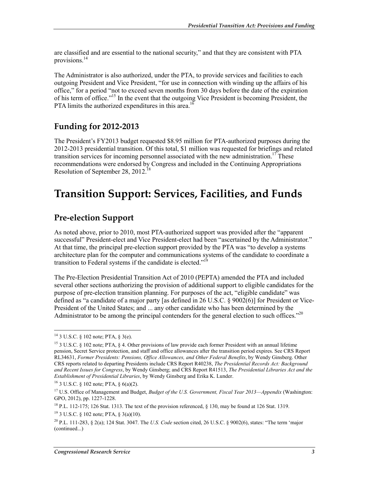are classified and are essential to the national security," and that they are consistent with PTA provisions.<sup>14</sup>

The Administrator is also authorized, under the PTA, to provide services and facilities to each outgoing President and Vice President, "for use in connection with winding up the affairs of his office," for a period "not to exceed seven months from 30 days before the date of the expiration of his term of office."15 In the event that the outgoing Vice President is becoming President, the PTA limits the authorized expenditures in this area.<sup>16</sup>

#### **Funding for 2012-2013**

The President's FY2013 budget requested \$8.95 million for PTA-authorized purposes during the 2012-2013 presidential transition. Of this total, \$1 million was requested for briefings and related transition services for incoming personnel associated with the new administration.<sup>17</sup> These recommendations were endorsed by Congress and included in the Continuing Appropriations Resolution of September 28, 2012.<sup>18</sup>

### **Transition Support: Services, Facilities, and Funds**

#### **Pre-election Support**

As noted above, prior to 2010, most PTA-authorized support was provided after the "apparent successful" President-elect and Vice President-elect had been "ascertained by the Administrator." At that time, the principal pre-election support provided by the PTA was "to develop a systems architecture plan for the computer and communications systems of the candidate to coordinate a transition to Federal systems if the candidate is elected."<sup>19</sup>

The Pre-Election Presidential Transition Act of 2010 (PEPTA) amended the PTA and included several other sections authorizing the provision of additional support to eligible candidates for the purpose of pre-election transition planning. For purposes of the act, "eligible candidate" was defined as "a candidate of a major party [as defined in 26 U.S.C. § 9002(6)] for President or Vice-President of the United States; and ... any other candidate who has been determined by the Administrator to be among the principal contenders for the general election to such offices."<sup>20</sup>

<u>.</u>

 $14$  3 U.S.C. § 102 note; PTA, § 3(e).

<sup>&</sup>lt;sup>15</sup> 3 U.S.C. § 102 note; PTA, § 4. Other provisions of law provide each former President with an annual lifetime pension, Secret Service protection, and staff and office allowances after the transition period expires. See CRS Report RL34631, *Former Presidents: Pensions, Office Allowances, and Other Federal Benefits*, by Wendy Ginsberg. Other CRS reports related to departing Presidents include CRS Report R40238, *The Presidential Records Act: Background and Recent Issues for Congress*, by Wendy Ginsberg; and CRS Report R41513, *The Presidential Libraries Act and the Establishment of Presidential Libraries*, by Wendy Ginsberg and Erika K. Lunder.

<sup>&</sup>lt;sup>16</sup> 3 U.S.C. § 102 note; PTA, §  $6(a)(2)$ .

<sup>17</sup> U.S. Office of Management and Budget, *Budget of the U.S. Government, Fiscal Year 2013—Appendix* (Washington: GPO, 2012), pp. 1227-1228.

<sup>18</sup> P.L. 112-175; 126 Stat. 1313. The text of the provision referenced, § 130, may be found at 126 Stat. 1319.

<sup>19 3</sup> U.S.C. § 102 note; PTA, § 3(a)(10).

<sup>20</sup> P.L. 111-283, § 2(a); 124 Stat. 3047. The *U.S. Code* section cited, 26 U.S.C. § 9002(6), states: "The term 'major (continued...)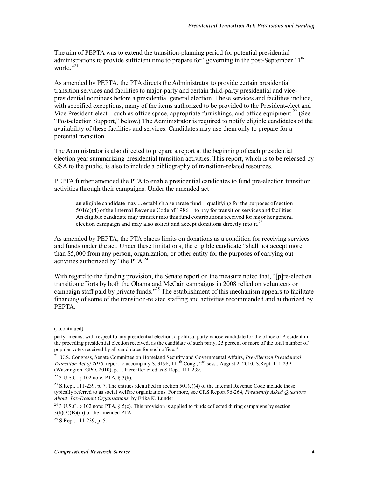The aim of PEPTA was to extend the transition-planning period for potential presidential administrations to provide sufficient time to prepare for "governing in the post-September 11<sup>th</sup> world." $^{21}$ 

As amended by PEPTA, the PTA directs the Administrator to provide certain presidential transition services and facilities to major-party and certain third-party presidential and vicepresidential nominees before a presidential general election. These services and facilities include, with specified exceptions, many of the items authorized to be provided to the President-elect and Vice President-elect—such as office space, appropriate furnishings, and office equipment.<sup>22</sup> (See "Post-election Support," below.) The Administrator is required to notify eligible candidates of the availability of these facilities and services. Candidates may use them only to prepare for a potential transition.

The Administrator is also directed to prepare a report at the beginning of each presidential election year summarizing presidential transition activities. This report, which is to be released by GSA to the public, is also to include a bibliography of transition-related resources.

PEPTA further amended the PTA to enable presidential candidates to fund pre-election transition activities through their campaigns. Under the amended act

an eligible candidate may ... establish a separate fund—qualifying for the purposes of section 501(c)(4) of the Internal Revenue Code of 1986—to pay for transition services and facilities. An eligible candidate may transfer into this fund contributions received for his or her general election campaign and may also solicit and accept donations directly into it.<sup>23</sup>

As amended by PEPTA, the PTA places limits on donations as a condition for receiving services and funds under the act. Under these limitations, the eligible candidate "shall not accept more than \$5,000 from any person, organization, or other entity for the purposes of carrying out activities authorized by" the PTA.<sup>24</sup>

With regard to the funding provision, the Senate report on the measure noted that, "[p]re-election transition efforts by both the Obama and McCain campaigns in 2008 relied on volunteers or campaign staff paid by private funds."<sup>25</sup> The establishment of this mechanism appears to facilitate financing of some of the transition-related staffing and activities recommended and authorized by PEPTA.

 $\overline{\phantom{a}}$ 

<sup>(...</sup>continued)

party' means, with respect to any presidential election, a political party whose candidate for the office of President in the preceding presidential election received, as the candidate of such party, 25 percent or more of the total number of popular votes received by all candidates for such office."

<sup>21</sup> U.S. Congress, Senate Committee on Homeland Security and Governmental Affairs, *Pre-Election Presidential Transition Act of 2010*, report to accompany S. 3196, 111<sup>th</sup> Cong., 2<sup>nd</sup> sess., August 2, 2010, S.Rept. 111-239 (Washington: GPO, 2010), p. 1. Hereafter cited as S.Rept. 111-239.

<sup>&</sup>lt;sup>22</sup> 3 U.S.C.  $\frac{102}{2}$  note; PTA,  $\frac{102}{2}$  PTA,  $\frac{102}{2}$ 

<sup>&</sup>lt;sup>23</sup> S.Rept. 111-239, p. 7. The entities identified in section 501(c)(4) of the Internal Revenue Code include those typically referred to as social welfare organizations. For more, see CRS Report 96-264, *Frequently Asked Questions About Tax-Exempt Organizations*, by Erika K. Lunder.

<sup>24 3</sup> U.S.C. § 102 note; PTA, § 5(c). This provision is applied to funds collected during campaigns by section  $3(h)(3)(B)(iii)$  of the amended PTA.

 $^{25}$  S.Rept. 111-239, p. 5.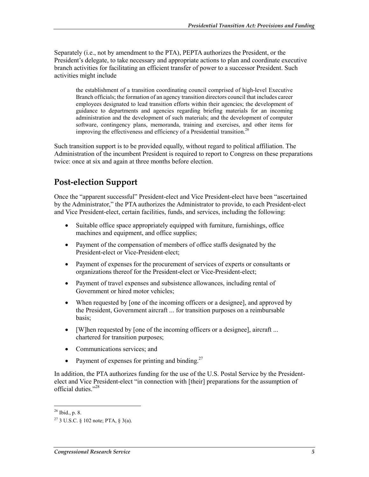Separately (i.e., not by amendment to the PTA), PEPTA authorizes the President, or the President's delegate, to take necessary and appropriate actions to plan and coordinate executive branch activities for facilitating an efficient transfer of power to a successor President. Such activities might include

the establishment of a transition coordinating council comprised of high-level Executive Branch officials; the formation of an agency transition directors council that includes career employees designated to lead transition efforts within their agencies; the development of guidance to departments and agencies regarding briefing materials for an incoming administration and the development of such materials; and the development of computer software, contingency plans, memoranda, training and exercises, and other items for improving the effectiveness and efficiency of a Presidential transition.<sup>26</sup>

Such transition support is to be provided equally, without regard to political affiliation. The Administration of the incumbent President is required to report to Congress on these preparations twice: once at six and again at three months before election.

#### **Post-election Support**

Once the "apparent successful" President-elect and Vice President-elect have been "ascertained by the Administrator," the PTA authorizes the Administrator to provide, to each President-elect and Vice President-elect, certain facilities, funds, and services, including the following:

- Suitable office space appropriately equipped with furniture, furnishings, office machines and equipment, and office supplies;
- Payment of the compensation of members of office staffs designated by the President-elect or Vice-President-elect;
- Payment of expenses for the procurement of services of experts or consultants or organizations thereof for the President-elect or Vice-President-elect;
- Payment of travel expenses and subsistence allowances, including rental of Government or hired motor vehicles;
- When requested by [one of the incoming officers or a designee], and approved by the President, Government aircraft ... for transition purposes on a reimbursable basis;
- [W]hen requested by [one of the incoming officers or a designee], aircraft ... chartered for transition purposes;
- Communications services: and
- Payment of expenses for printing and binding.<sup>27</sup>

In addition, the PTA authorizes funding for the use of the U.S. Postal Service by the Presidentelect and Vice President-elect "in connection with [their] preparations for the assumption of official duties<sup>"28</sup>

<sup>1</sup>  $^{26}$  Ibid., p. 8.

<sup>27 3</sup> U.S.C. § 102 note; PTA, § 3(a).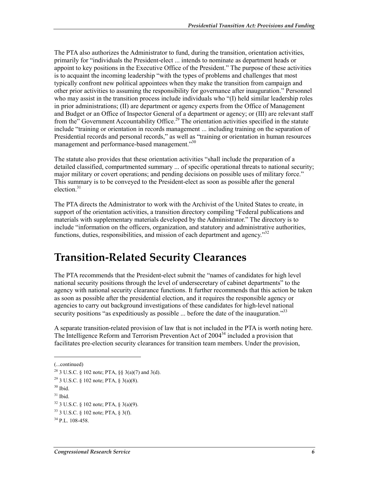The PTA also authorizes the Administrator to fund, during the transition, orientation activities, primarily for "individuals the President-elect ... intends to nominate as department heads or appoint to key positions in the Executive Office of the President." The purpose of these activities is to acquaint the incoming leadership "with the types of problems and challenges that most typically confront new political appointees when they make the transition from campaign and other prior activities to assuming the responsibility for governance after inauguration." Personnel who may assist in the transition process include individuals who "(I) held similar leadership roles in prior administrations; (II) are department or agency experts from the Office of Management and Budget or an Office of Inspector General of a department or agency; or (III) are relevant staff from the" Government Accountability Office.<sup>29</sup> The orientation activities specified in the statute include "training or orientation in records management ... including training on the separation of Presidential records and personal records," as well as "training or orientation in human resources management and performance-based management."<sup>30</sup>

The statute also provides that these orientation activities "shall include the preparation of a detailed classified, compartmented summary ... of specific operational threats to national security; major military or covert operations; and pending decisions on possible uses of military force." This summary is to be conveyed to the President-elect as soon as possible after the general election. $31$ 

The PTA directs the Administrator to work with the Archivist of the United States to create, in support of the orientation activities, a transition directory compiling "Federal publications and materials with supplementary materials developed by the Administrator." The directory is to include "information on the officers, organization, and statutory and administrative authorities, functions, duties, responsibilities, and mission of each department and agency.<sup>332</sup>

### **Transition-Related Security Clearances**

The PTA recommends that the President-elect submit the "names of candidates for high level national security positions through the level of undersecretary of cabinet departments" to the agency with national security clearance functions. It further recommends that this action be taken as soon as possible after the presidential election, and it requires the responsible agency or agencies to carry out background investigations of these candidates for high-level national security positions "as expeditiously as possible ... before the date of the inauguration."<sup>33</sup>

A separate transition-related provision of law that is not included in the PTA is worth noting here. The Intelligence Reform and Terrorism Prevention Act of 2004<sup>34</sup> included a provision that facilitates pre-election security clearances for transition team members. Under the provision,

1

<sup>(...</sup>continued)

<sup>&</sup>lt;sup>28</sup> 3 U.S.C. § 102 note; PTA, §§ 3(a)(7) and 3(d).

<sup>&</sup>lt;sup>29</sup> 3 U.S.C. § 102 note; PTA, § 3(a)(8).

 $30$  Ibid.

 $31$  Ibid.

<sup>32 3</sup> U.S.C. § 102 note; PTA, § 3(a)(9).

<sup>33 3</sup> U.S.C. § 102 note; PTA, § 3(f).

 $34$  P.L. 108-458.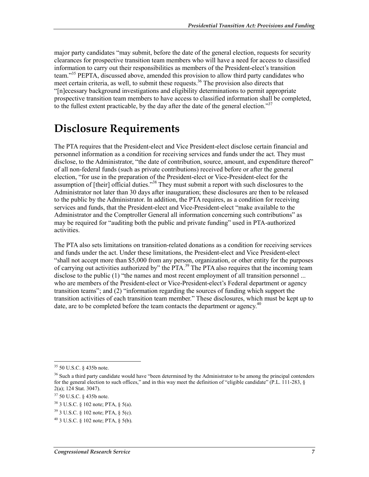major party candidates "may submit, before the date of the general election, requests for security clearances for prospective transition team members who will have a need for access to classified information to carry out their responsibilities as members of the President-elect's transition team."35 PEPTA, discussed above, amended this provision to allow third party candidates who meet certain criteria, as well, to submit these requests.<sup>36</sup> The provision also directs that "[n]ecessary background investigations and eligibility determinations to permit appropriate prospective transition team members to have access to classified information shall be completed, to the fullest extent practicable, by the day after the date of the general election."<sup>37</sup>

### **Disclosure Requirements**

The PTA requires that the President-elect and Vice President-elect disclose certain financial and personnel information as a condition for receiving services and funds under the act. They must disclose, to the Administrator, "the date of contribution, source, amount, and expenditure thereof" of all non-federal funds (such as private contributions) received before or after the general election, "for use in the preparation of the President-elect or Vice-President-elect for the assumption of [their] official duties."<sup>38</sup> They must submit a report with such disclosures to the Administrator not later than 30 days after inauguration; these disclosures are then to be released to the public by the Administrator. In addition, the PTA requires, as a condition for receiving services and funds, that the President-elect and Vice-President-elect "make available to the Administrator and the Comptroller General all information concerning such contributions" as may be required for "auditing both the public and private funding" used in PTA-authorized activities.

The PTA also sets limitations on transition-related donations as a condition for receiving services and funds under the act. Under these limitations, the President-elect and Vice President-elect "shall not accept more than \$5,000 from any person, organization, or other entity for the purposes of carrying out activities authorized by" the PTA.<sup>39</sup> The PTA also requires that the incoming team disclose to the public (1) "the names and most recent employment of all transition personnel ... who are members of the President-elect or Vice-President-elect's Federal department or agency transition teams"; and (2) "information regarding the sources of funding which support the transition activities of each transition team member." These disclosures, which must be kept up to date, are to be completed before the team contacts the department or agency.<sup>40</sup>

<sup>1</sup> 35 50 U.S.C. § 435b note.

<sup>&</sup>lt;sup>36</sup> Such a third party candidate would have "been determined by the Administrator to be among the principal contenders for the general election to such offices," and in this way meet the definition of "eligible candidate" (P.L.  $111-283$ , § 2(a); 124 Stat. 3047).

<sup>37 50</sup> U.S.C. § 435b note.

<sup>38 3</sup> U.S.C. § 102 note; PTA, § 5(a).

 $39$  3 U.S.C. § 102 note; PTA, § 5(c).

<sup>40 3</sup> U.S.C. § 102 note; PTA, § 5(b).